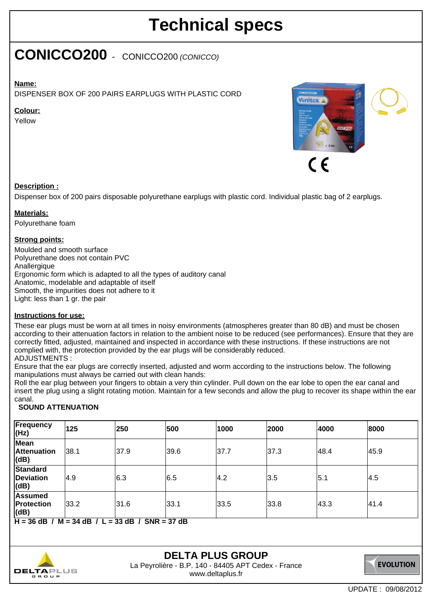## **Technical specs**

### **CONICCO200** - CONICCO200 (CONICCO)

#### **Name:**

DISPENSER BOX OF 200 PAIRS EARPLUGS WITH PLASTIC CORD

#### **Colour:**

Yellow



#### **Description :**

Dispenser box of 200 pairs disposable polyurethane earplugs with plastic cord. Individual plastic bag of 2 earplugs.

#### **Materials:**

Polyurethane foam

#### **Strong points:**

Moulded and smooth surface Polyurethane does not contain PVC Anallergique Ergonomic form which is adapted to all the types of auditory canal Anatomic, modelable and adaptable of itself Smooth, the impurities does not adhere to it Light: less than 1 gr. the pair

#### **Instructions for use:**

These ear plugs must be worn at all times in noisy environments (atmospheres greater than 80 dB) and must be chosen according to their attenuation factors in relation to the ambient noise to be reduced (see performances). Ensure that they are correctly fitted, adjusted, maintained and inspected in accordance with these instructions. If these instructions are not complied with, the protection provided by the ear plugs will be considerably reduced.

#### ADJUSTMENTS :

Ensure that the ear plugs are correctly inserted, adjusted and worm according to the instructions below. The following manipulations must always be carried out with clean hands:

Roll the ear plug between your fingers to obtain a very thin cylinder. Pull down on the ear lobe to open the ear canal and insert the plug using a slight rotating motion. Maintain for a few seconds and allow the plug to recover its shape within the ear canal.

#### **SOUND ATTENUATION**

| (Hz)                                        | 125  | 250  | 500  | 1000 | 2000 | 4000 | 8000 |
|---------------------------------------------|------|------|------|------|------|------|------|
| <b>Mean</b><br><b>Attenuation</b><br>(dB)   | 38.1 | 37.9 | 39.6 | 37.7 | 37.3 | 48.4 | 45.9 |
| <b>Standard</b><br><b>Deviation</b><br>(dB) | 4.9  | 6.3  | 6.5  | 4.2  | 3.5  | 5.1  | 4.5  |
| <b>Assumed</b><br>Protection<br>(dB)        | 33.2 | 31.6 | 33.1 | 33.5 | 33.8 | 43.3 | 41.4 |

**H = 36 dB / M = 34 dB / L = 33 dB / SNR = 37 dB**



#### **DELTA PLUS GROUP** La Peyrolière - B.P. 140 - 84405 APT Cedex - France www.deltaplus.fr